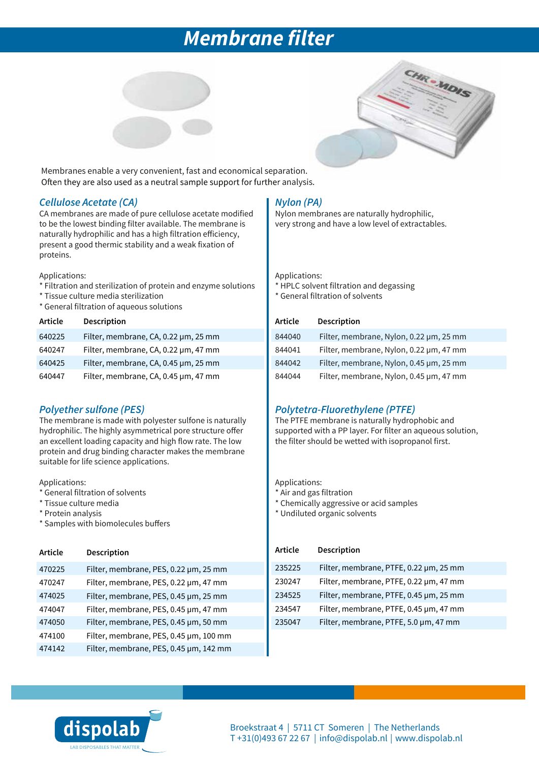# *Membrane filter*





Membranes enable a very convenient, fast and economical separation. Often they are also used as a neutral sample support for further analysis.

### *Cellulose Acetate (CA)*

CA membranes are made of pure cellulose acetate modified to be the lowest binding filter available. The membrane is naturally hydrophilic and has a high filtration efficiency, present a good thermic stability and a weak fixation of proteins.

Applications:

- \* Filtration and sterilization of protein and enzyme solutions
- \* Tissue culture media sterilization
- \* General filtration of aqueous solutions

| Article | Description                          |
|---------|--------------------------------------|
| 640225  | Filter, membrane, CA, 0.22 µm, 25 mm |
| 640247  | Filter, membrane, CA, 0.22 µm, 47 mm |
| 640425  | Filter, membrane, CA, 0.45 µm, 25 mm |
| 640447  | Filter, membrane, CA, 0.45 µm, 47 mm |

### *Polyether sulfone (PES)*

The membrane is made with polyester sulfone is naturally hydrophilic. The highly asymmetrical pore structure offer an excellent loading capacity and high flow rate. The low protein and drug binding character makes the membrane suitable for life science applications.

Applications:

- \* General filtration of solvents
- \* Tissue culture media
- \* Protein analysis
- \* Samples with biomolecules buffers

| Article | Description                            |
|---------|----------------------------------------|
| 470225  | Filter, membrane, PES, 0.22 µm, 25 mm  |
| 470247  | Filter, membrane, PES, 0.22 µm, 47 mm  |
| 474025  | Filter, membrane, PES, 0.45 µm, 25 mm  |
| 474047  | Filter, membrane, PES, 0.45 µm, 47 mm  |
| 474050  | Filter, membrane, PES, 0.45 µm, 50 mm  |
| 474100  | Filter, membrane, PES, 0.45 µm, 100 mm |
| 474142  | Filter, membrane, PES, 0.45 µm, 142 mm |

## *Nylon (PA)*

Nylon membranes are naturally hydrophilic, very strong and have a low level of extractables.

Applications:

- \* HPLC solvent filtration and degassing
- \* General filtration of solvents

#### **Article Description**

| 844040 | Filter, membrane, Nylon, 0.22 µm, 25 mm |
|--------|-----------------------------------------|
| 844041 | Filter, membrane, Nylon, 0.22 µm, 47 mm |
| 844042 | Filter, membrane, Nylon, 0.45 µm, 25 mm |
| 844044 | Filter, membrane, Nylon, 0.45 µm, 47 mm |

## *Polytetra-Fluorethylene (PTFE)*

The PTFE membrane is naturally hydrophobic and supported with a PP layer. For filter an aqueous solution, the filter should be wetted with isopropanol first.

Applications:

- \* Air and gas filtration
- \* Chemically aggressive or acid samples
- \* Undiluted organic solvents